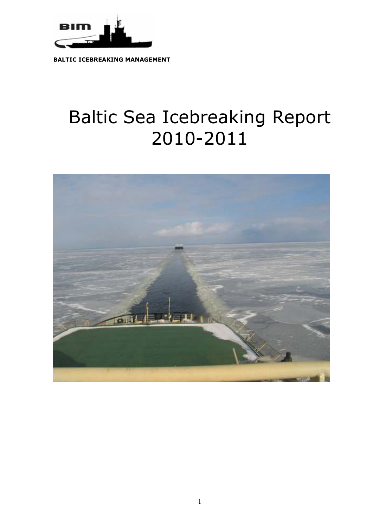

**BALTIC ICEBREAKING MANAGEMENT** 

# Baltic Sea Icebreaking Report 2010-2011

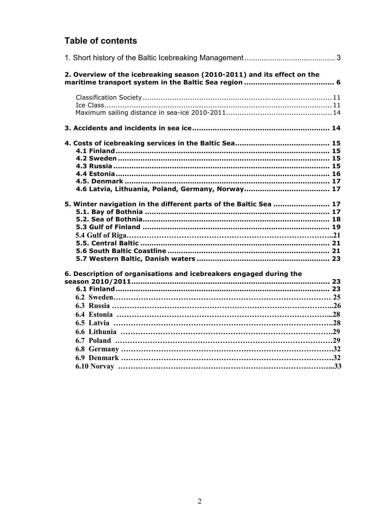## **Table of contents**

| 2. Overview of the icebreaking season (2010-2011) and its effect on the |  |
|-------------------------------------------------------------------------|--|
|                                                                         |  |
|                                                                         |  |
|                                                                         |  |
|                                                                         |  |
|                                                                         |  |
|                                                                         |  |
|                                                                         |  |
|                                                                         |  |
|                                                                         |  |
|                                                                         |  |
|                                                                         |  |
|                                                                         |  |
| 5. Winter navigation in the different parts of the Baltic Sea  17       |  |
|                                                                         |  |
|                                                                         |  |
|                                                                         |  |
|                                                                         |  |
|                                                                         |  |
|                                                                         |  |
|                                                                         |  |
|                                                                         |  |
| 6. Description of organisations and icebreakers engaged during the      |  |
|                                                                         |  |
|                                                                         |  |
|                                                                         |  |
|                                                                         |  |
|                                                                         |  |
|                                                                         |  |
|                                                                         |  |
|                                                                         |  |
|                                                                         |  |
|                                                                         |  |
|                                                                         |  |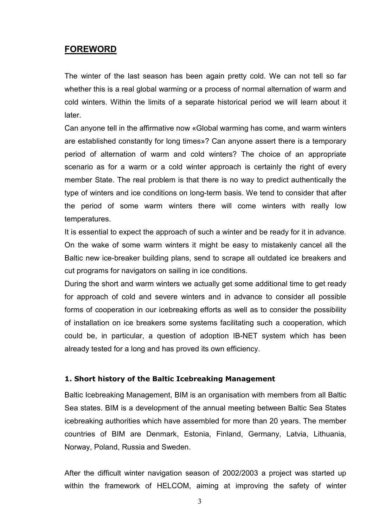## **FOREWORD**

The winter of the last season has been again pretty cold. We can not tell so far whether this is a real global warming or a process of normal alternation of warm and cold winters. Within the limits of a separate historical period we will learn about it later.

Can anyone tell in the affirmative now «Global warming has come, and warm winters are established constantly for long times»? Can anyone assert there is a temporary period of alternation of warm and cold winters? The choice of an appropriate scenario as for a warm or a cold winter approach is certainly the right of every member State. The real problem is that there is no way to predict authentically the type of winters and ice conditions on long-term basis. We tend to consider that after the period of some warm winters there will come winters with really low temperatures.

It is essential to expect the approach of such a winter and be ready for it in advance. On the wake of some warm winters it might be easy to mistakenly cancel all the Baltic new ice-breaker building plans, send to scrape all outdated ice breakers and cut programs for navigators on sailing in ice conditions.

During the short and warm winters we actually get some additional time to get ready for approach of cold and severe winters and in advance to consider all possible forms of cooperation in our icebreaking efforts as well as to consider the possibility of installation on ice breakers some systems facilitating such a cooperation, which could be, in particular, a question of adoption IB-NET system which has been already tested for a long and has proved its own efficiency.

#### **1. Short history of the Baltic Icebreaking Management**

Baltic Icebreaking Management, BIM is an organisation with members from all Baltic Sea states. BIM is a development of the annual meeting between Baltic Sea States icebreaking authorities which have assembled for more than 20 years. The member countries of BIM are Denmark, Estonia, Finland, Germany, Latvia, Lithuania, Norway, Poland, Russia and Sweden.

After the difficult winter navigation season of 2002/2003 a project was started up within the framework of HELCOM, aiming at improving the safety of winter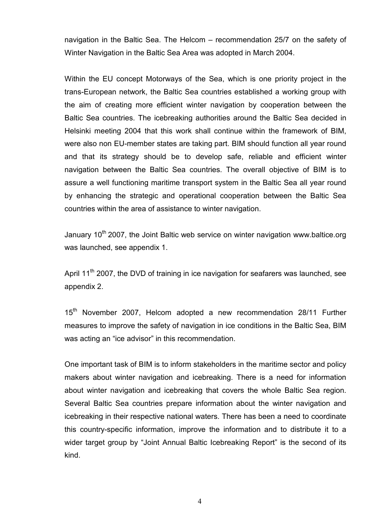navigation in the Baltic Sea. The Helcom – recommendation 25/7 on the safety of Winter Navigation in the Baltic Sea Area was adopted in March 2004.

Within the EU concept Motorways of the Sea, which is one priority project in the trans-European network, the Baltic Sea countries established a working group with the aim of creating more efficient winter navigation by cooperation between the Baltic Sea countries. The icebreaking authorities around the Baltic Sea decided in Helsinki meeting 2004 that this work shall continue within the framework of BIM, were also non EU-member states are taking part. BIM should function all year round and that its strategy should be to develop safe, reliable and efficient winter navigation between the Baltic Sea countries. The overall objective of BIM is to assure a well functioning maritime transport system in the Baltic Sea all year round by enhancing the strategic and operational cooperation between the Baltic Sea countries within the area of assistance to winter navigation.

January 10<sup>th</sup> 2007, the Joint Baltic web service on winter navigation www.baltice.org was launched, see appendix 1.

April 11<sup>th</sup> 2007, the DVD of training in ice navigation for seafarers was launched, see appendix 2.

15<sup>th</sup> November 2007, Helcom adopted a new recommendation 28/11 Further measures to improve the safety of navigation in ice conditions in the Baltic Sea, BIM was acting an "ice advisor" in this recommendation.

One important task of BIM is to inform stakeholders in the maritime sector and policy makers about winter navigation and icebreaking. There is a need for information about winter navigation and icebreaking that covers the whole Baltic Sea region. Several Baltic Sea countries prepare information about the winter navigation and icebreaking in their respective national waters. There has been a need to coordinate this country-specific information, improve the information and to distribute it to a wider target group by "Joint Annual Baltic Icebreaking Report" is the second of its kind.

4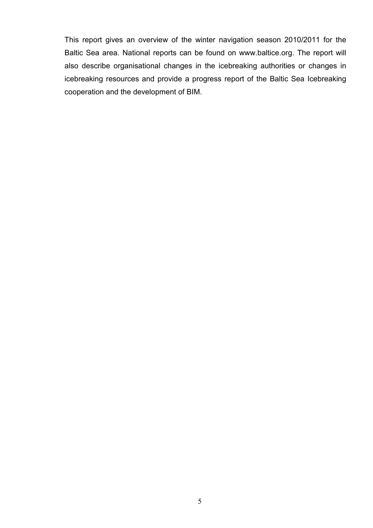This report gives an overview of the winter navigation season 2010/2011 for the Baltic Sea area. National reports can be found on www.baltice.org. The report will also describe organisational changes in the icebreaking authorities or changes in icebreaking resources and provide a progress report of the Baltic Sea Icebreaking cooperation and the development of BIM.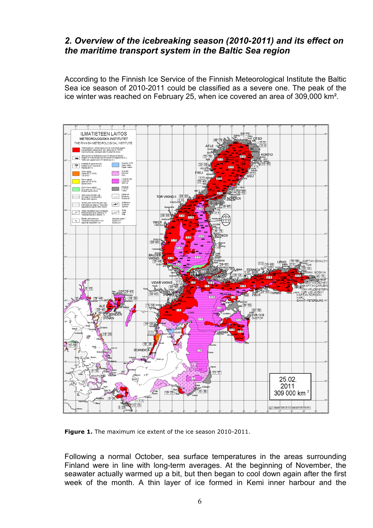## *2. Overview of the icebreaking season (2010-2011) and its effect on the maritime transport system in the Baltic Sea region*

According to the Finnish Ice Service of the Finnish Meteorological Institute the Baltic Sea ice season of 2010-2011 could be classified as a severe one. The peak of the ice winter was reached on February 25, when ice covered an area of 309,000 km².



**Figure 1.** The maximum ice extent of the ice season 2010-2011.

Following a normal October, sea surface temperatures in the areas surrounding Finland were in line with long-term averages. At the beginning of November, the seawater actually warmed up a bit, but then began to cool down again after the first week of the month. A thin layer of ice formed in Kemi inner harbour and the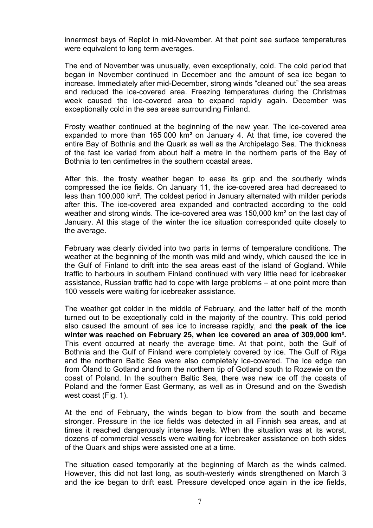innermost bays of Replot in mid-November. At that point sea surface temperatures were equivalent to long term averages.

The end of November was unusually, even exceptionally, cold. The cold period that began in November continued in December and the amount of sea ice began to increase. Immediately after mid-December, strong winds "cleaned out" the sea areas and reduced the ice-covered area. Freezing temperatures during the Christmas week caused the ice-covered area to expand rapidly again. December was exceptionally cold in the sea areas surrounding Finland.

Frosty weather continued at the beginning of the new year. The ice-covered area expanded to more than 165 000 km² on January 4. At that time, ice covered the entire Bay of Bothnia and the Quark as well as the Archipelago Sea. The thickness of the fast ice varied from about half a metre in the northern parts of the Bay of Bothnia to ten centimetres in the southern coastal areas.

After this, the frosty weather began to ease its grip and the southerly winds compressed the ice fields. On January 11, the ice-covered area had decreased to less than 100,000 km². The coldest period in January alternated with milder periods after this. The ice-covered area expanded and contracted according to the cold weather and strong winds. The ice-covered area was 150,000 km² on the last day of January. At this stage of the winter the ice situation corresponded quite closely to the average.

February was clearly divided into two parts in terms of temperature conditions. The weather at the beginning of the month was mild and windy, which caused the ice in the Gulf of Finland to drift into the sea areas east of the island of Gogland. While traffic to harbours in southern Finland continued with very little need for icebreaker assistance, Russian traffic had to cope with large problems – at one point more than 100 vessels were waiting for icebreaker assistance.

The weather got colder in the middle of February, and the latter half of the month turned out to be exceptionally cold in the majority of the country. This cold period also caused the amount of sea ice to increase rapidly, and **the peak of the ice winter was reached on February 25, when ice covered an area of 309,000 km².** This event occurred at nearly the average time. At that point, both the Gulf of Bothnia and the Gulf of Finland were completely covered by ice. The Gulf of Riga and the northern Baltic Sea were also completely ice-covered. The ice edge ran from Öland to Gotland and from the northern tip of Gotland south to Rozewie on the coast of Poland. In the southern Baltic Sea, there was new ice off the coasts of Poland and the former East Germany, as well as in Oresund and on the Swedish west coast (Fig. 1).

At the end of February, the winds began to blow from the south and became stronger. Pressure in the ice fields was detected in all Finnish sea areas, and at times it reached dangerously intense levels. When the situation was at its worst, dozens of commercial vessels were waiting for icebreaker assistance on both sides of the Quark and ships were assisted one at a time.

The situation eased temporarily at the beginning of March as the winds calmed. However, this did not last long, as south-westerly winds strengthened on March 3 and the ice began to drift east. Pressure developed once again in the ice fields,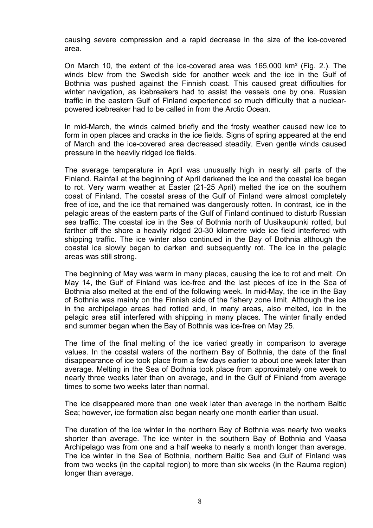causing severe compression and a rapid decrease in the size of the ice-covered area.

On March 10, the extent of the ice-covered area was 165,000 km² (Fig. 2.). The winds blew from the Swedish side for another week and the ice in the Gulf of Bothnia was pushed against the Finnish coast. This caused great difficulties for winter navigation, as icebreakers had to assist the vessels one by one. Russian traffic in the eastern Gulf of Finland experienced so much difficulty that a nuclearpowered icebreaker had to be called in from the Arctic Ocean.

In mid-March, the winds calmed briefly and the frosty weather caused new ice to form in open places and cracks in the ice fields. Signs of spring appeared at the end of March and the ice-covered area decreased steadily. Even gentle winds caused pressure in the heavily ridged ice fields.

The average temperature in April was unusually high in nearly all parts of the Finland. Rainfall at the beginning of April darkened the ice and the coastal ice began to rot. Very warm weather at Easter (21-25 April) melted the ice on the southern coast of Finland. The coastal areas of the Gulf of Finland were almost completely free of ice, and the ice that remained was dangerously rotten. In contrast, ice in the pelagic areas of the eastern parts of the Gulf of Finland continued to disturb Russian sea traffic. The coastal ice in the Sea of Bothnia north of Uusikaupunki rotted, but farther off the shore a heavily ridged 20-30 kilometre wide ice field interfered with shipping traffic. The ice winter also continued in the Bay of Bothnia although the coastal ice slowly began to darken and subsequently rot. The ice in the pelagic areas was still strong.

The beginning of May was warm in many places, causing the ice to rot and melt. On May 14, the Gulf of Finland was ice-free and the last pieces of ice in the Sea of Bothnia also melted at the end of the following week. In mid-May, the ice in the Bay of Bothnia was mainly on the Finnish side of the fishery zone limit. Although the ice in the archipelago areas had rotted and, in many areas, also melted, ice in the pelagic area still interfered with shipping in many places. The winter finally ended and summer began when the Bay of Bothnia was ice-free on May 25.

The time of the final melting of the ice varied greatly in comparison to average values. In the coastal waters of the northern Bay of Bothnia, the date of the final disappearance of ice took place from a few days earlier to about one week later than average. Melting in the Sea of Bothnia took place from approximately one week to nearly three weeks later than on average, and in the Gulf of Finland from average times to some two weeks later than normal.

The ice disappeared more than one week later than average in the northern Baltic Sea; however, ice formation also began nearly one month earlier than usual.

The duration of the ice winter in the northern Bay of Bothnia was nearly two weeks shorter than average. The ice winter in the southern Bay of Bothnia and Vaasa Archipelago was from one and a half weeks to nearly a month longer than average. The ice winter in the Sea of Bothnia, northern Baltic Sea and Gulf of Finland was from two weeks (in the capital region) to more than six weeks (in the Rauma region) longer than average.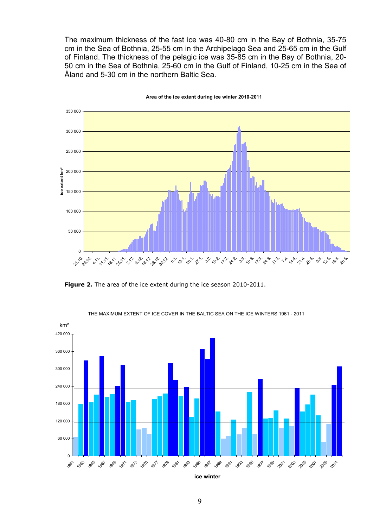The maximum thickness of the fast ice was 40-80 cm in the Bay of Bothnia, 35-75 cm in the Sea of Bothnia, 25-55 cm in the Archipelago Sea and 25-65 cm in the Gulf of Finland. The thickness of the pelagic ice was 35-85 cm in the Bay of Bothnia, 20- 50 cm in the Sea of Bothnia, 25-60 cm in the Gulf of Finland, 10-25 cm in the Sea of Åland and 5-30 cm in the northern Baltic Sea.



**Area of the ice extent during ice winter 2010-2011**

**Figure 2.** The area of the ice extent during the ice season 2010-2011.



THE MAXIMUM EXTENT OF ICE COVER IN THE BALTIC SEA ON THE ICE WINTERS 1961 - 2011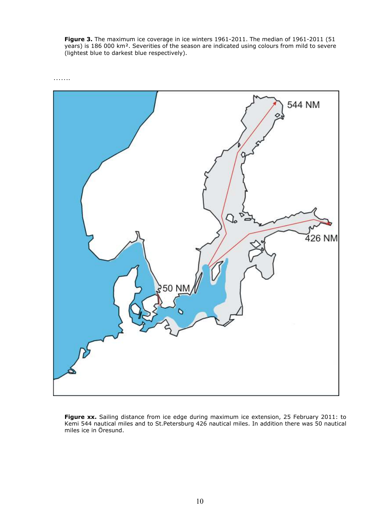**Figure 3.** The maximum ice coverage in ice winters 1961-2011. The median of 1961-2011 (51 years) is 186 000 km². Severities of the season are indicated using colours from mild to severe (lightest blue to darkest blue respectively).



Figure xx. Sailing distance from ice edge during maximum ice extension, 25 February 2011: to Kemi 544 nautical miles and to St.Petersburg 426 nautical miles. In addition there was 50 nautical miles ice in Öresund.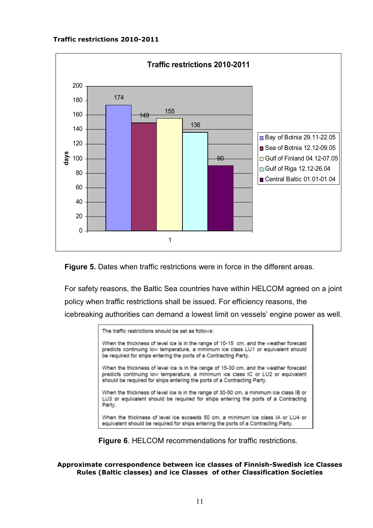#### **Traffic restrictions 2010-2011**





For safety reasons, the Baltic Sea countries have within HELCOM agreed on a joint policy when traffic restrictions shall be issued. For efficiency reasons, the icebreaking authorities can demand a lowest limit on vessels' engine power as well.



**Figure 6**. HELCOM recommendations for traffic restrictions.

**Approximate correspondence between ice classes of Finnish-Swedish ice Classes Rules (Baltic classes) and ice Classes of other Classification Societies**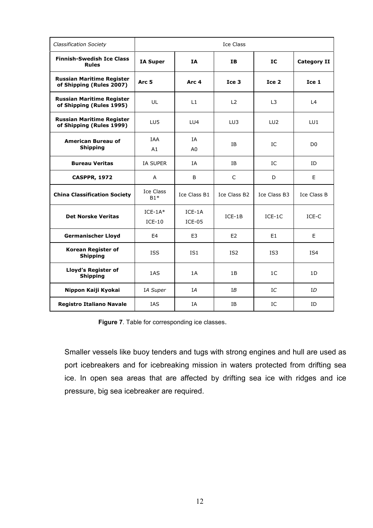| <b>Classification Society</b>                                | Ice Class             |                      |                  |                 |                    |
|--------------------------------------------------------------|-----------------------|----------------------|------------------|-----------------|--------------------|
| <b>Finnish-Swedish Ice Class</b><br><b>Rules</b>             | <b>IA Super</b>       | IΑ                   | IΒ               | IC              | <b>Category II</b> |
| <b>Russian Maritime Register</b><br>of Shipping (Rules 2007) | Arc <sub>5</sub>      | Arc <sub>4</sub>     | Ice <sub>3</sub> | Ice 2           | Ice 1              |
| <b>Russian Maritime Register</b><br>of Shipping (Rules 1995) | UL                    | L1                   | L2               | L <sub>3</sub>  | L4                 |
| <b>Russian Maritime Register</b><br>of Shipping (Rules 1999) | LU5                   | LU4                  | LU3              | LU <sub>2</sub> | LU1                |
| American Bureau of<br><b>Shipping</b>                        | <b>TAA</b><br>A1      | ĪΑ<br>A0             | IΒ               | IC              | D <sub>0</sub>     |
| <b>Bureau Veritas</b>                                        | <b>IA SUPER</b>       | ΙA                   | ΙB               | IC              | ID                 |
| <b>CASPPR, 1972</b>                                          | A                     | B                    | $\mathsf{C}$     | D               | E                  |
| <b>China Classification Society</b>                          | Ice Class<br>$B1*$    | Ice Class B1         | Ice Class B2     | Ice Class B3    | Ice Class B        |
| <b>Det Norske Veritas</b>                                    | $ICE-1A*$<br>$ICE-10$ | $ICE-1A$<br>$ICE-05$ | $ICE-1B$         | $ICE-1C$        | ICE-C              |
| <b>Germanischer Lloyd</b>                                    | E4                    | E <sub>3</sub>       | E <sub>2</sub>   | E1              | E                  |
| Korean Register of<br><b>Shipping</b>                        | <b>ISS</b>            | IS <sub>1</sub>      | IS <sub>2</sub>  | IS3             | IS4                |
| <b>Lloyd's Register of</b><br><b>Shipping</b>                | 1AS                   | 1A                   | 1B               | 1C              | 1D                 |
| Nippon Kaiji Kyokai                                          | IA Super              | IA                   | IΒ               | IC              | ID                 |
| <b>Registro Italiano Navale</b>                              | <b>IAS</b>            | ΙA                   | ΙB               | IC              | ID                 |

**Figure 7**. Table for corresponding ice classes.

Smaller vessels like buoy tenders and tugs with strong engines and hull are used as port icebreakers and for icebreaking mission in waters protected from drifting sea ice. In open sea areas that are affected by drifting sea ice with ridges and ice pressure, big sea icebreaker are required.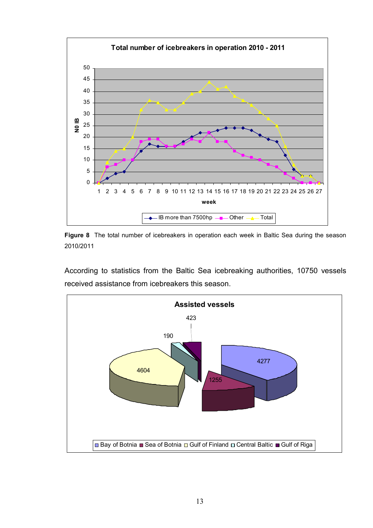

**Figure 8** The total number of icebreakers in operation each week in Baltic Sea during the season 2010/2011

According to statistics from the Baltic Sea icebreaking authorities, 10750 vessels received assistance from icebreakers this season.

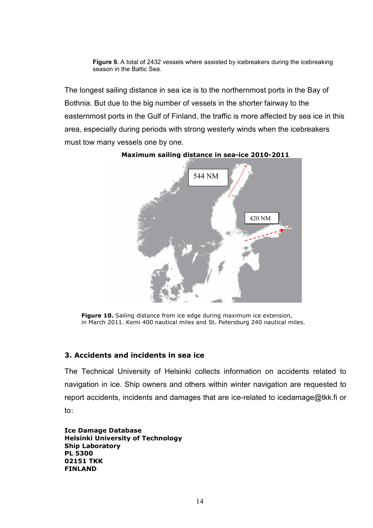**Figure 9.** A total of 2432 vessels where assisted by icebreakers during the icebreaking season in the Baltic Sea.

The longest sailing distance in sea ice is to the northernmost ports in the Bay of Bothnia. But due to the big number of vessels in the shorter fairway to the easternmost ports in the Gulf of Finland, the traffic is more affected by sea ice in this area, especially during periods with strong westerly winds when the icebreakers must tow many vessels one by one.



**Maximum sailing distance in sea-ice 2010-2011** 

**Figure 10.** Sailing distance from ice edge during maximum ice extension, in March 2011. Kemi 400 nautical miles and St. Petersburg 240 nautical miles.

#### **3. Accidents and incidents in sea ice**

The Technical University of Helsinki collects information on accidents related to navigation in ice. Ship owners and others within winter navigation are requested to report accidents, incidents and damages that are ice-related to icedamage@tkk.fi or to:

**Ice Damage Database Helsinki University of Technology Ship Laboratory PL 5300 02151 TKK FINLAND**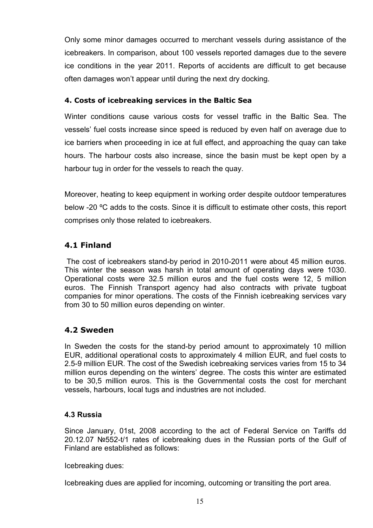Only some minor damages occurred to merchant vessels during assistance of the icebreakers. In comparison, about 100 vessels reported damages due to the severe ice conditions in the year 2011. Reports of accidents are difficult to get because often damages won't appear until during the next dry docking.

## **4. Costs of icebreaking services in the Baltic Sea**

Winter conditions cause various costs for vessel traffic in the Baltic Sea. The vessels' fuel costs increase since speed is reduced by even half on average due to ice barriers when proceeding in ice at full effect, and approaching the quay can take hours. The harbour costs also increase, since the basin must be kept open by a harbour tug in order for the vessels to reach the quay.

Moreover, heating to keep equipment in working order despite outdoor temperatures below -20 ºC adds to the costs. Since it is difficult to estimate other costs, this report comprises only those related to icebreakers.

## **4.1 Finland**

 The cost of icebreakers stand-by period in 2010-2011 were about 45 million euros. This winter the season was harsh in total amount of operating days were 1030. Operational costs were 32.5 million euros and the fuel costs were 12, 5 million euros. The Finnish Transport agency had also contracts with private tugboat companies for minor operations. The costs of the Finnish icebreaking services vary from 30 to 50 million euros depending on winter.

## **4.2 Sweden**

In Sweden the costs for the stand-by period amount to approximately 10 million EUR, additional operational costs to approximately 4 million EUR, and fuel costs to 2.5-9 million EUR. The cost of the Swedish icebreaking services varies from 15 to 34 million euros depending on the winters' degree. The costs this winter are estimated to be 30,5 million euros. This is the Governmental costs the cost for merchant vessels, harbours, local tugs and industries are not included.

## **4.3 Russia**

Since January, 01st, 2008 according to the act of Federal Service on Tariffs dd 20.12.07 №552-t/1 rates of icebreaking dues in the Russian ports of the Gulf of Finland are established as follows:

Icebreaking dues:

Icebreaking dues are applied for incoming, outcoming or transiting the port area.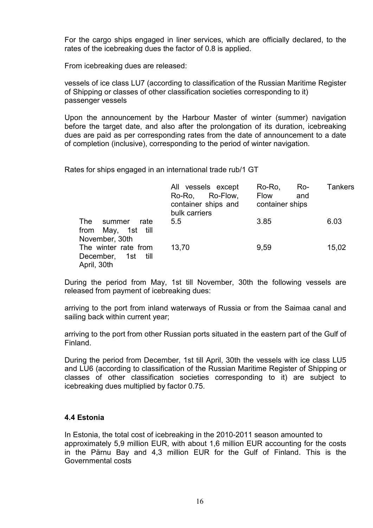For the cargo ships engaged in liner services, which are officially declared, to the rates of the icebreaking dues the factor of 0.8 is applied.

From icebreaking dues are released:

vessels of ice class LU7 (according to classification of the Russian Maritime Register of Shipping or classes of other classification societies corresponding to it) passenger vessels

Upon the announcement by the Harbour Master of winter (summer) navigation before the target date, and also after the prolongation of its duration, icebreaking dues are paid as per corresponding rates from the date of announcement to a date of completion (inclusive), corresponding to the period of winter navigation.

Rates for ships engaged in an international trade rub/1 GT

|                                      | All vessels except<br>Ro-Ro, Ro-Flow,<br>container ships and<br>bulk carriers | Ro-Ro,<br>Ro-<br><b>Flow</b><br>and<br>container ships | <b>Tankers</b> |
|--------------------------------------|-------------------------------------------------------------------------------|--------------------------------------------------------|----------------|
| The<br>rate<br>summer                | 5.5                                                                           | 3.85                                                   | 6.03           |
| from May, 1st till<br>November, 30th |                                                                               |                                                        |                |
| The winter rate from                 | 13,70                                                                         | 9,59                                                   | 15,02          |
| December,<br>1st till                |                                                                               |                                                        |                |
| April, 30th                          |                                                                               |                                                        |                |

During the period from May, 1st till November, 30th the following vessels are released from payment of icebreaking dues:

arriving to the port from inland waterways of Russia or from the Saimaa canal and sailing back within current year;

arriving to the port from other Russian ports situated in the eastern part of the Gulf of Finland.

During the period from December, 1st till April, 30th the vessels with ice class LU5 and LU6 (according to classification of the Russian Maritime Register of Shipping or classes of other classification societies corresponding to it) are subject to icebreaking dues multiplied by factor 0.75.

## **4.4 Estonia**

In Estonia, the total cost of icebreaking in the 2010-2011 season amounted to approximately 5,9 million EUR, with about 1,6 million EUR accounting for the costs in the Pärnu Bay and 4,3 million EUR for the Gulf of Finland. This is the Governmental costs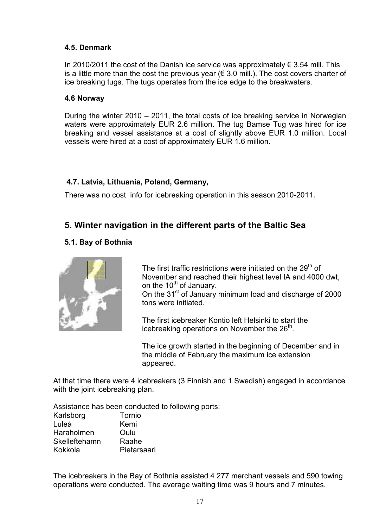#### **4.5. Denmark**

In 2010/2011 the cost of the Danish ice service was approximately  $\epsilon$  3,54 mill. This is a little more than the cost the previous year ( $\in$  3.0 mill.). The cost covers charter of ice breaking tugs. The tugs operates from the ice edge to the breakwaters.

#### **4.6 Norway**

During the winter 2010 – 2011, the total costs of ice breaking service in Norwegian waters were approximately EUR 2.6 million. The tug Bamse Tug was hired for ice breaking and vessel assistance at a cost of slightly above EUR 1.0 million. Local vessels were hired at a cost of approximately EUR 1.6 million.

## **4.7. Latvia, Lithuania, Poland, Germany,**

There was no cost info for icebreaking operation in this season 2010-2011.

## **5. Winter navigation in the different parts of the Baltic Sea**

## **5.1. Bay of Bothnia**



The first traffic restrictions were initiated on the  $29<sup>th</sup>$  of November and reached their highest level IA and 4000 dwt, on the  $10^{th}$  of January.

On the 31<sup>st</sup> of January minimum load and discharge of 2000 tons were initiated.

The first icebreaker Kontio left Helsinki to start the icebreaking operations on November the 26<sup>th</sup>.

The ice growth started in the beginning of December and in the middle of February the maximum ice extension appeared.

At that time there were 4 icebreakers (3 Finnish and 1 Swedish) engaged in accordance with the joint icebreaking plan.

Assistance has been conducted to following ports:

| Karlsborg         | Tornio      |
|-------------------|-------------|
| Luleå             | Kemi        |
| <b>Haraholmen</b> | Oulu        |
| Skelleftehamn     | Raahe       |
| Kokkola           | Pietarsaari |

The icebreakers in the Bay of Bothnia assisted 4 277 merchant vessels and 590 towing operations were conducted. The average waiting time was 9 hours and 7 minutes.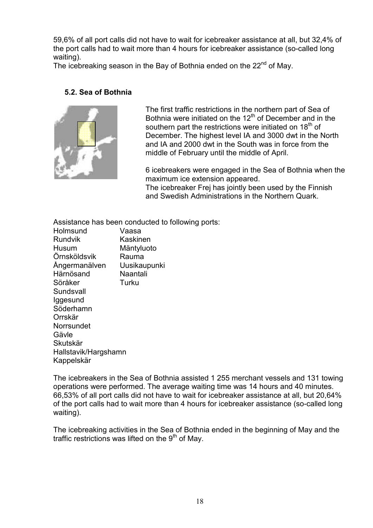59,6% of all port calls did not have to wait for icebreaker assistance at all, but 32,4% of the port calls had to wait more than 4 hours for icebreaker assistance (so-called long waiting).

The icebreaking season in the Bay of Bothnia ended on the 22<sup>nd</sup> of May.

#### **5.2. Sea of Bothnia**



The first traffic restrictions in the northern part of Sea of Bothnia were initiated on the  $12<sup>th</sup>$  of December and in the southern part the restrictions were initiated on  $18<sup>th</sup>$  of December. The highest level IA and 3000 dwt in the North and IA and 2000 dwt in the South was in force from the middle of February until the middle of April.

6 icebreakers were engaged in the Sea of Bothnia when the maximum ice extension appeared. The icebreaker Frej has jointly been used by the Finnish and Swedish Administrations in the Northern Quark.

Assistance has been conducted to following ports: Holmsund Vaasa Rundvik Kaskinen Husum Mäntyluoto Örnsköldsvik Rauma Ångermanälven Uusikaupunki<br>Härnösand Naantali Härnösand Söråker Turku **Sundsvall** Iggesund Söderhamn Orrskär **Norrsundet** Gävle Skutskär Hallstavik/Hargshamn Kappelskär

The icebreakers in the Sea of Bothnia assisted 1 255 merchant vessels and 131 towing operations were performed. The average waiting time was 14 hours and 40 minutes. 66,53% of all port calls did not have to wait for icebreaker assistance at all, but 20,64% of the port calls had to wait more than 4 hours for icebreaker assistance (so-called long waiting).

The icebreaking activities in the Sea of Bothnia ended in the beginning of May and the traffic restrictions was lifted on the  $9<sup>th</sup>$  of May.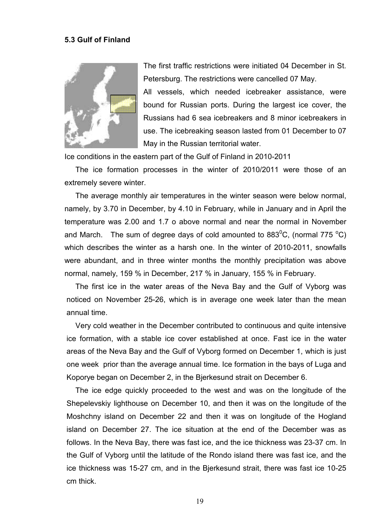#### **5.3 Gulf of Finland**



The first traffic restrictions were initiated 04 December in St. Petersburg. The restrictions were cancelled 07 May.

All vessels, which needed icebreaker assistance, were bound for Russian ports. During the largest ice cover, the Russians had 6 sea icebreakers and 8 minor icebreakers in use. The icebreaking season lasted from 01 December to 07 May in the Russian territorial water.

Ice conditions in the eastern part of the Gulf of Finland in 2010-2011

The ice formation processes in the winter of 2010/2011 were those of an extremely severe winter.

The average monthly air temperatures in the winter season were below normal, namely, by 3.70 in December, by 4.10 in February, while in January and in April the temperature was 2.00 and 1.7 o above normal and near the normal in November and March. The sum of degree days of cold amounted to  $883^{\circ}$ C, (normal 775  $^{\circ}$ C) which describes the winter as a harsh one. In the winter of 2010-2011, snowfalls were abundant, and in three winter months the monthly precipitation was above normal, namely, 159 % in December, 217 % in January, 155 % in February.

The first ice in the water areas of the Neva Bay and the Gulf of Vyborg was noticed on November 25-26, which is in average one week later than the mean annual time.

Very cold weather in the December contributed to continuous and quite intensive ice formation, with a stable ice cover established at once. Fast ice in the water areas of the Neva Bay and the Gulf of Vyborg formed on December 1, which is just one week prior than the average annual time. Ice formation in the bays of Luga and Koporye began on December 2, in the Bjerkesund strait оn December 6.

The ice edge quickly proceeded to the west and was on the longitude of the Shepelevskiy lighthouse on December 10, and then it was on the longitude of the Moshchny island on December 22 and then it was on longitude of the Hogland island on December 27. The ice situation at the end of the December was as follows. In the Neva Bay, there was fast ice, and the ice thickness was 23-37 cm. In the Gulf of Vyborg until the latitude of the Rondo island there was fast ice, and the ice thickness was 15-27 cm, and in the Bjerkesund strait, there was fast ice 10-25 cm thick.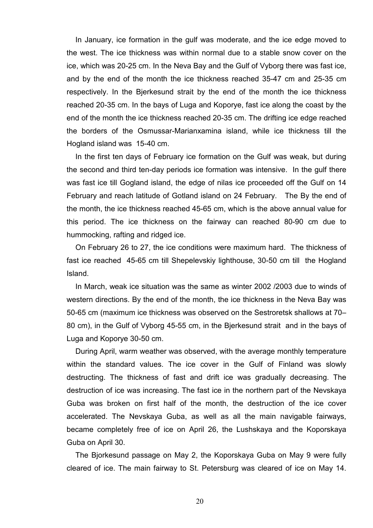In January, ice formation in the gulf was moderate, and the ice edge moved to the west. The ice thickness was within normal due to a stable snow cover on the ice, which was 20-25 cm. In the Neva Bay and the Gulf of Vyborg there was fast ice, and by the end of the month the ice thickness reached 35-47 cm and 25-35 cm respectively. In the Bjerkesund strait by the end of the month the ice thickness reached 20-35 cm. In the bays of Luga and Koporye, fast ice along the coast by the end of the month the ice thickness reached 20-35 cm. The drifting ice edge reached the borders of the Osmussar-Marianxamina island, while ice thickness till the Hogland island was 15-40 cm.

In the first ten days of February ice formation on the Gulf was weak, but during the second and third ten-day periods ice formation was intensive. In the gulf there was fast ice till Gogland island, the edge of nilas ice proceeded off the Gulf on 14 February and reach latitude of Gotland island on 24 February. The By the end of the month, the ice thickness reached 45-65 cm, which is the above annual value for this period. The ice thickness on the fairway can reached 80-90 cm due to hummocking, rafting and ridged ice.

On February 26 to 27, the ice conditions were maximum hard. The thickness of fast ice reached 45-65 cm till Shepelevskiy lighthouse, 30-50 cm till the Hogland Island.

In March, weak ice situation was the same as winter 2002 /2003 due to winds of western directions. By the end of the month, the ice thickness in the Neva Bay was 50-65 cm (maximum ice thickness was observed on the Sestroretsk shallows at 70– 80 cm), in the Gulf of Vyborg 45-55 cm, in the Bjerkesund strait and in the bays of Luga and Koporye 30-50 cm.

During April, warm weather was observed, with the average monthly temperature within the standard values. The ice cover in the Gulf of Finland was slowly destructing. The thickness of fast and drift ice was gradually decreasing. The destruction of ice was increasing. The fast ice in the northern part of the Nevskaya Guba was broken on first half of the month, the destruction of the ice cover accelerated. The Nevskaya Guba, as well as all the main navigable fairways, became completely free of ice on April 26, the Lushskaya and the Koporskaya Guba on April 30.

The Bjorkesund passage on May 2, the Koporskaya Guba on May 9 were fully cleared of ice. The main fairway to St. Petersburg was cleared of ice on May 14.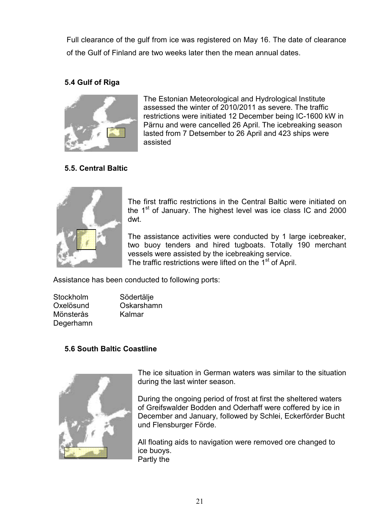Full clearance of the gulf from ice was registered on May 16. The date of clearance of the Gulf of Finland are two weeks later then the mean annual dates.

## **5.4 Gulf of Riga**



The Estonian Meteorological and Hydrological Institute assessed the winter of 2010/2011 as severe. The traffic restrictions were initiated 12 December being IC-1600 kW in Pärnu and were cancelled 26 April. The icebreaking season lasted from 7 Detsember to 26 April and 423 ships were assisted

## **5.5. Central Baltic**



The first traffic restrictions in the Central Baltic were initiated on the  $1<sup>st</sup>$  of January. The highest level was ice class IC and 2000 dwt.

The assistance activities were conducted by 1 large icebreaker, two buoy tenders and hired tugboats. Totally 190 merchant vessels were assisted by the icebreaking service. The traffic restrictions were lifted on the 1<sup>st</sup> of April.

Assistance has been conducted to following ports:

| Stockholm | Södertälje |
|-----------|------------|
| Oxelösund | Oskarshamn |
| Mönsterås | Kalmar     |
| Degerhamn |            |

## **5.6 South Baltic Coastline**



The ice situation in German waters was similar to the situation during the last winter season.

During the ongoing period of frost at first the sheltered waters of Greifswalder Bodden and Oderhaff were coffered by ice in December and January, followed by Schlei, Eckerförder Bucht und Flensburger Förde.

All floating aids to navigation were removed ore changed to ice buoys. Partly the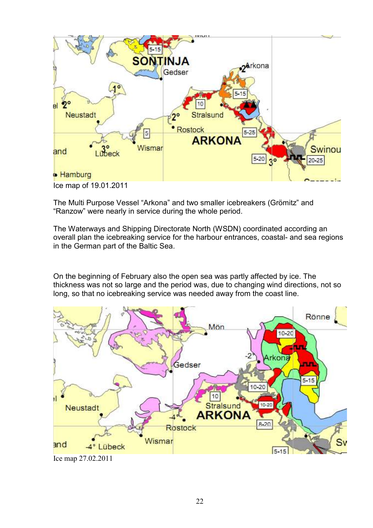

The Multi Purpose Vessel "Arkona" and two smaller icebreakers (Grömitz" and "Ranzow" were nearly in service during the whole period.

The Waterways and Shipping Directorate North (WSDN) coordinated according an overall plan the icebreaking service for the harbour entrances, coastal- and sea regions in the German part of the Baltic Sea.

On the beginning of February also the open sea was partly affected by ice. The thickness was not so large and the period was, due to changing wind directions, not so long, so that no icebreaking service was needed away from the coast line.

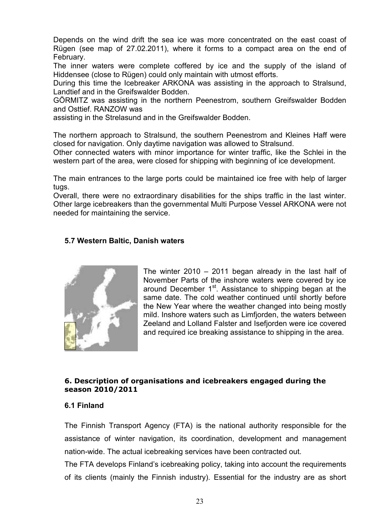Depends on the wind drift the sea ice was more concentrated on the east coast of Rügen (see map of 27.02.2011), where it forms to a compact area on the end of February.

The inner waters were complete coffered by ice and the supply of the island of Hiddensee (close to Rügen) could only maintain with utmost efforts.

During this time the Icebreaker ARKONA was assisting in the approach to Stralsund, Landtief and in the Greifswalder Bodden.

GÖRMITZ was assisting in the northern Peenestrom, southern Greifswalder Bodden and Osttief. RANZOW was

assisting in the Strelasund and in the Greifswalder Bodden.

The northern approach to Stralsund, the southern Peenestrom and Kleines Haff were closed for navigation. Only daytime navigation was allowed to Stralsund.

Other connected waters with minor importance for winter traffic, like the Schlei in the western part of the area, were closed for shipping with beginning of ice development.

The main entrances to the large ports could be maintained ice free with help of larger tugs.

Overall, there were no extraordinary disabilities for the ships traffic in the last winter. Other large icebreakers than the governmental Multi Purpose Vessel ARKONA were not needed for maintaining the service.

#### **5.7 Western Baltic, Danish waters**



The winter 2010 – 2011 began already in the last half of November Parts of the inshore waters were covered by ice around December  $1<sup>st</sup>$ . Assistance to shipping began at the same date. The cold weather continued until shortly before the New Year where the weather changed into being mostly mild. Inshore waters such as Limfjorden, the waters between Zeeland and Lolland Falster and Isefjorden were ice covered and required ice breaking assistance to shipping in the area.

#### **6. Description of organisations and icebreakers engaged during the season 2010/2011**

#### **6.1 Finland**

The Finnish Transport Agency (FTA) is the national authority responsible for the assistance of winter navigation, its coordination, development and management nation-wide. The actual icebreaking services have been contracted out.

The FTA develops Finland's icebreaking policy, taking into account the requirements of its clients (mainly the Finnish industry). Essential for the industry are as short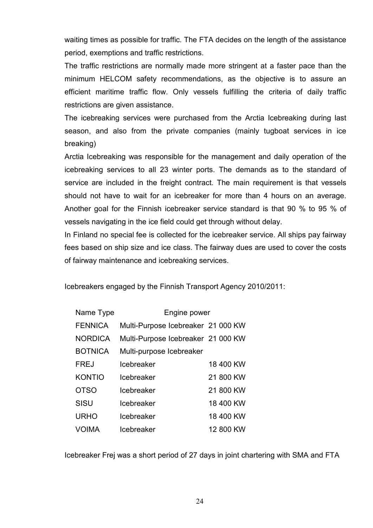waiting times as possible for traffic. The FTA decides on the length of the assistance period, exemptions and traffic restrictions.

The traffic restrictions are normally made more stringent at a faster pace than the minimum HELCOM safety recommendations, as the objective is to assure an efficient maritime traffic flow. Only vessels fulfilling the criteria of daily traffic restrictions are given assistance.

The icebreaking services were purchased from the Arctia Icebreaking during last season, and also from the private companies (mainly tugboat services in ice breaking)

Arctia Icebreaking was responsible for the management and daily operation of the icebreaking services to all 23 winter ports. The demands as to the standard of service are included in the freight contract. The main requirement is that vessels should not have to wait for an icebreaker for more than 4 hours on an average. Another goal for the Finnish icebreaker service standard is that 90 % to 95 % of vessels navigating in the ice field could get through without delay.

In Finland no special fee is collected for the icebreaker service. All ships pay fairway fees based on ship size and ice class. The fairway dues are used to cover the costs of fairway maintenance and icebreaking services.

Icebreakers engaged by the Finnish Transport Agency 2010/2011:

| Name Type      | Engine power                       |           |  |
|----------------|------------------------------------|-----------|--|
| <b>FENNICA</b> | Multi-Purpose Icebreaker 21 000 KW |           |  |
| <b>NORDICA</b> | Multi-Purpose Icebreaker 21 000 KW |           |  |
| <b>BOTNICA</b> | Multi-purpose Icebreaker           |           |  |
| <b>FREJ</b>    | Icebreaker                         | 18 400 KW |  |
| <b>KONTIO</b>  | Icebreaker                         | 21 800 KW |  |
| <b>OTSO</b>    | Icebreaker                         | 21 800 KW |  |
| <b>SISU</b>    | Icebreaker                         | 18 400 KW |  |
| <b>URHO</b>    | Icebreaker                         | 18 400 KW |  |
| VOIMA          | Icebreaker                         | 12 800 KW |  |

Icebreaker Frej was a short period of 27 days in joint chartering with SMA and FTA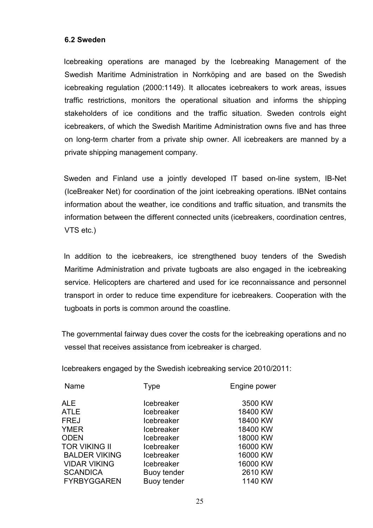#### **6.2 Sweden**

 Icebreaking operations are managed by the Icebreaking Management of the Swedish Maritime Administration in Norrköping and are based on the Swedish icebreaking regulation (2000:1149). It allocates icebreakers to work areas, issues traffic restrictions, monitors the operational situation and informs the shipping stakeholders of ice conditions and the traffic situation. Sweden controls eight icebreakers, of which the Swedish Maritime Administration owns five and has three on long-term charter from a private ship owner. All icebreakers are manned by a private shipping management company.

 Sweden and Finland use a jointly developed IT based on-line system, IB-Net (IceBreaker Net) for coordination of the joint icebreaking operations. IBNet contains information about the weather, ice conditions and traffic situation, and transmits the information between the different connected units (icebreakers, coordination centres, VTS etc.)

 In addition to the icebreakers, ice strengthened buoy tenders of the Swedish Maritime Administration and private tugboats are also engaged in the icebreaking service. Helicopters are chartered and used for ice reconnaissance and personnel transport in order to reduce time expenditure for icebreakers. Cooperation with the tugboats in ports is common around the coastline.

 The governmental fairway dues cover the costs for the icebreaking operations and no vessel that receives assistance from icebreaker is charged.

Icebreakers engaged by the Swedish icebreaking service 2010/2011:

| Name                 | Type               | Engine power |
|----------------------|--------------------|--------------|
| <b>ALE</b>           | Icebreaker         | 3500 KW      |
| <b>ATLE</b>          | Icebreaker         | 18400 KW     |
| <b>FREJ</b>          | Icebreaker         | 18400 KW     |
| <b>YMER</b>          | Icebreaker         | 18400 KW     |
| <b>ODEN</b>          | Icebreaker         | 18000 KW     |
| <b>TOR VIKING II</b> | Icebreaker         | 16000 KW     |
| <b>BALDER VIKING</b> | Icebreaker         | 16000 KW     |
| <b>VIDAR VIKING</b>  | Icebreaker         | 16000 KW     |
| <b>SCANDICA</b>      | <b>Buoy tender</b> | 2610 KW      |
| <b>FYRBYGGAREN</b>   | <b>Buoy tender</b> | 1140 KW      |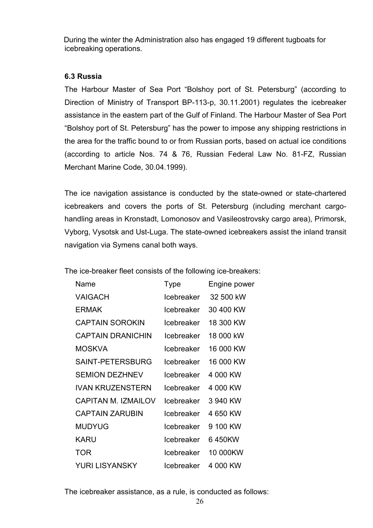During the winter the Administration also has engaged 19 different tugboats for icebreaking operations.

## **6.3 Russia**

The Harbour Master of Sea Port "Bolshoy port of St. Petersburg" (according to Direction of Ministry of Transport BP-113-p, 30.11.2001) regulates the icebreaker assistance in the eastern part of the Gulf of Finland. The Harbour Master of Sea Port "Bolshoy port of St. Petersburg" has the power to impose any shipping restrictions in the area for the traffic bound to or from Russian ports, based on actual ice conditions (according to article Nos. 74 & 76, Russian Federal Law No. 81-FZ, Russian Merchant Marine Code, 30.04.1999).

The ice navigation assistance is conducted by the state-owned or state-chartered icebreakers and covers the ports of St. Petersburg (including merchant cargohandling areas in Kronstadt, Lomonosov and Vasileostrovsky cargo area), Primorsk, Vyborg, Vysotsk and Ust-Luga. The state-owned icebreakers assist the inland transit navigation via Symens canal both ways.

The ice-breaker fleet consists of the following ice-breakers:

| Name                     | Type       | Engine power |
|--------------------------|------------|--------------|
| VAIGACH                  | Icebreaker | 32 500 kW    |
| <b>ERMAK</b>             | Icebreaker | 30 400 KW    |
| <b>CAPTAIN SOROKIN</b>   | Icebreaker | 18 300 KW    |
| <b>CAPTAIN DRANICHIN</b> | Icebreaker | 18 000 kW    |
| MOSKVA                   | Icebreaker | 16 000 KW    |
| SAINT-PETERSBURG         | Icebreaker | 16 000 KW    |
| <b>SEMION DEZHNEV</b>    | Icebreaker | 4 000 KW     |
| <b>IVAN KRUZENSTERN</b>  | Icebreaker | 4 000 KW     |
| CAPITAN M IZMAII OV      | Icebreaker | 3 940 KW     |
| <b>CAPTAIN ZARUBIN</b>   | Icebreaker | 4 650 KW     |
| <b>MUDYUG</b>            | Icebreaker | 9 100 KW     |
| <b>KARU</b>              | Icebreaker | 6450KW       |
| <b>TOR</b>               | Icebreaker | 10 000KW     |
| YURI LISYANSKY           | Icebreaker | 4 000 KW     |

The icebreaker assistance, as a rule, is conducted as follows: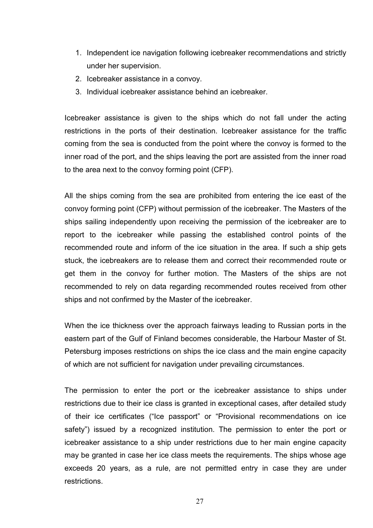- 1. Independent ice navigation following icebreaker recommendations and strictly under her supervision.
- 2. Icebreaker assistance in a convoy.
- 3. Individual icebreaker assistance behind an icebreaker.

Icebreaker assistance is given to the ships which do not fall under the acting restrictions in the ports of their destination. Icebreaker assistance for the traffic coming from the sea is conducted from the point where the convoy is formed to the inner road of the port, and the ships leaving the port are assisted from the inner road to the area next to the convoy forming point (CFP).

All the ships coming from the sea are prohibited from entering the ice east of the convoy forming point (CFP) without permission of the icebreaker. The Masters of the ships sailing independently upon receiving the permission of the icebreaker are to report to the icebreaker while passing the established control points of the recommended route and inform of the ice situation in the area. If such a ship gets stuck, the icebreakers are to release them and correct their recommended route or get them in the convoy for further motion. The Masters of the ships are not recommended to rely on data regarding recommended routes received from other ships and not confirmed by the Master of the icebreaker.

When the ice thickness over the approach fairways leading to Russian ports in the eastern part of the Gulf of Finland becomes considerable, the Harbour Master of St. Petersburg imposes restrictions on ships the ice class and the main engine capacity of which are not sufficient for navigation under prevailing circumstances.

The permission to enter the port or the icebreaker assistance to ships under restrictions due to their ice class is granted in exceptional cases, after detailed study of their ice certificates ("Ice passport" or "Provisional recommendations on ice safety") issued by a recognized institution. The permission to enter the port or icebreaker assistance to a ship under restrictions due to her main engine capacity may be granted in case her ice class meets the requirements. The ships whose age exceeds 20 years, as a rule, are not permitted entry in case they are under restrictions.

27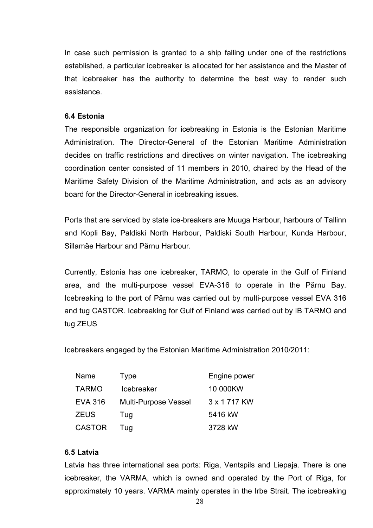In case such permission is granted to a ship falling under one of the restrictions established, a particular icebreaker is allocated for her assistance and the Master of that icebreaker has the authority to determine the best way to render such assistance.

#### **6.4 Estonia**

The responsible organization for icebreaking in Estonia is the Estonian Maritime Administration. The Director-General of the Estonian Maritime Administration decides on traffic restrictions and directives on winter navigation. The icebreaking coordination center consisted of 11 members in 2010, chaired by the Head of the Maritime Safety Division of the Maritime Administration, and acts as an advisory board for the Director-General in icebreaking issues.

Ports that are serviced by state ice-breakers are Muuga Harbour, harbours of Tallinn and Kopli Bay, Paldiski North Harbour, Paldiski South Harbour, Kunda Harbour, Sillamäe Harbour and Pärnu Harbour.

Currently, Estonia has one icebreaker, TARMO, to operate in the Gulf of Finland area, and the multi-purpose vessel EVA-316 to operate in the Pärnu Bay. Icebreaking to the port of Pärnu was carried out by multi-purpose vessel EVA 316 and tug CASTOR. Icebreaking for Gulf of Finland was carried out by IB TARMO and tug ZEUS

Icebreakers engaged by the Estonian Maritime Administration 2010/2011:

| Name           | Type                        | Engine power   |
|----------------|-----------------------------|----------------|
| <b>TARMO</b>   | <b>Icebreaker</b>           | 10 000KW       |
| <b>EVA 316</b> | <b>Multi-Purpose Vessel</b> | 3 x 1 7 1 7 KW |
| <b>ZEUS</b>    | Tug                         | 5416 kW        |
| <b>CASTOR</b>  | Tug                         | 3728 kW        |

#### **6.5 Latvia**

Latvia has three international sea ports: Riga, Ventspils and Liepaja. There is one icebreaker, the VARMA, which is owned and operated by the Port of Riga, for approximately 10 years. VARMA mainly operates in the Irbe Strait. The icebreaking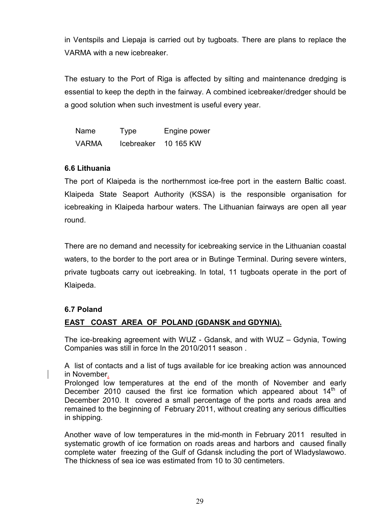in Ventspils and Liepaja is carried out by tugboats. There are plans to replace the VARMA with a new icebreaker.

The estuary to the Port of Riga is affected by silting and maintenance dredging is essential to keep the depth in the fairway. A combined icebreaker/dredger should be a good solution when such investment is useful every year.

| <b>Name</b>  | Type              | Engine power |
|--------------|-------------------|--------------|
| <b>VARMA</b> | <b>Icebreaker</b> | 10 165 KW    |

## **6.6 Lithuania**

The port of Klaipeda is the northernmost ice-free port in the eastern Baltic coast. Klaipeda State Seaport Authority (KSSA) is the responsible organisation for icebreaking in Klaipeda harbour waters. The Lithuanian fairways are open all year round.

There are no demand and necessity for icebreaking service in the Lithuanian coastal waters, to the border to the port area or in Butinge Terminal. During severe winters, private tugboats carry out icebreaking. In total, 11 tugboats operate in the port of Klaipeda.

## **6.7 Poland**

## **EAST COAST AREA OF POLAND (GDANSK and GDYNIA).**

The ice-breaking agreement with WUZ - Gdansk, and with WUZ – Gdynia, Towing Companies was still in force In the 2010/2011 season .

A list of contacts and a list of tugs available for ice breaking action was announced in November.

Prolonged low temperatures at the end of the month of November and early December 2010 caused the first ice formation which appeared about  $14<sup>th</sup>$  of December 2010. It covered a small percentage of the ports and roads area and remained to the beginning of February 2011, without creating any serious difficulties in shipping.

Another wave of low temperatures in the mid-month in February 2011 resulted in systematic growth of ice formation on roads areas and harbors and caused finally complete water freezing of the Gulf of Gdansk including the port of Wladyslawowo. The thickness of sea ice was estimated from 10 to 30 centimeters.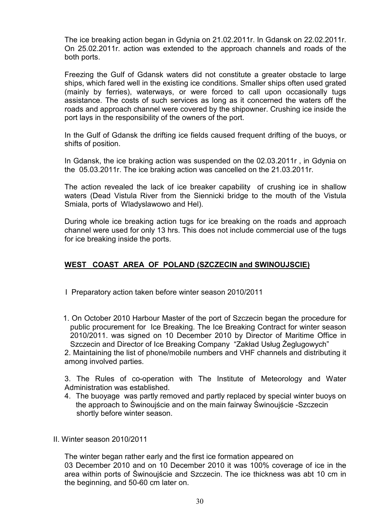The ice breaking action began in Gdynia on 21.02.2011r. In Gdansk on 22.02.2011r. On 25.02.2011r. action was extended to the approach channels and roads of the both ports.

Freezing the Gulf of Gdansk waters did not constitute a greater obstacle to large ships, which fared well in the existing ice conditions. Smaller ships often used grated (mainly by ferries), waterways, or were forced to call upon occasionally tugs assistance. The costs of such services as long as it concerned the waters off the roads and approach channel were covered by the shipowner. Crushing ice inside the port lays in the responsibility of the owners of the port.

In the Gulf of Gdansk the drifting ice fields caused frequent drifting of the buoys, or shifts of position.

In Gdansk, the ice braking action was suspended on the 02.03.2011r , in Gdynia on the 05.03.2011r. The ice braking action was cancelled on the 21.03.2011r.

The action revealed the lack of ice breaker capability of crushing ice in shallow waters (Dead Vistula River from the Siennicki bridge to the mouth of the Vistula Smiala, ports of Wladyslawowo and Hel).

During whole ice breaking action tugs for ice breaking on the roads and approach channel were used for only 13 hrs. This does not include commercial use of the tugs for ice breaking inside the ports.

#### **WEST COAST AREA OF POLAND (SZCZECIN and SWINOUJSCIE)**

- I Preparatory action taken before winter season 2010/2011
- 1. On October 2010 Harbour Master of the port of Szczecin began the procedure for public procurement for Ice Breaking. The Ice Breaking Contract for winter season 2010/2011. was signed on 10 December 2010 by Director of Maritime Office in Szczecin and Director of Ice Breaking Company "Zakład Usług Żeglugowych"

 2. Maintaining the list of phone/mobile numbers and VHF channels and distributing it among involved parties.

3. The Rules of co-operation with The Institute of Meteorology and Water Administration was established.

- 4. The buoyage was partly removed and partly replaced by special winter buoys on the approach to Świnoujście and on the main fairway Świnoujście -Szczecin shortly before winter season.
- II. Winter season 2010/2011

The winter began rather early and the first ice formation appeared on 03 December 2010 and on 10 December 2010 it was 100% coverage of ice in the area within ports of Świnoujście and Szczecin. The ice thickness was abt 10 cm in the beginning, and 50-60 cm later on.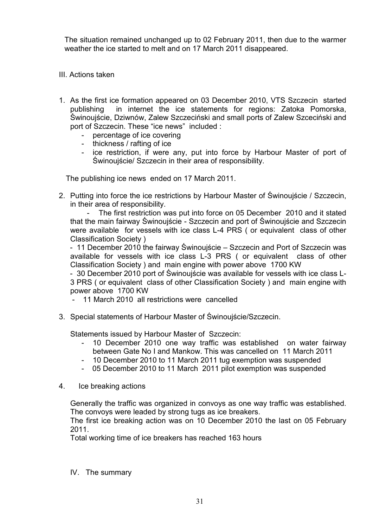The situation remained unchanged up to 02 February 2011, then due to the warmer weather the ice started to melt and on 17 March 2011 disappeared.

- III. Actions taken
- 1. As the first ice formation appeared on 03 December 2010, VTS Szczecin started publishing in internet the ice statements for regions: Zatoka Pomorska, Świnoujście, Dziwnów, Zalew Szczeciński and small ports of Zalew Szceciński and port of Szczecin. These "ice news" included :
	- percentage of ice covering
	- thickness / rafting of ice
	- ice restriction, if were any, put into force by Harbour Master of port of Świnoujście/ Szczecin in their area of responsibility.

The publishing ice news ended on 17 March 2011.

2. Putting into force the ice restrictions by Harbour Master of Świnoujście / Szczecin, in their area of responsibility.

 - The first restriction was put into force on 05 December 2010 and it stated that the main fairway Świnoujście - Szczecin and port of Świnoujście and Szczecin were available for vessels with ice class L-4 PRS (or equivalent class of other Classification Society )

 - 11 December 2010 the fairway Świnoujście – Szczecin and Port of Szczecin was available for vessels with ice class L-3 PRS ( or equivalent class of other Classification Society ) and main engine with power above 1700 KW

 - 30 December 2010 port of Świnoujście was available for vessels with ice class L-3 PRS ( or equivalent class of other Classification Society ) and main engine with power above 1700 KW

- 11 March 2010 all restrictions were cancelled
- 3. Special statements of Harbour Master of Świnoujście/Szczecin.

Statements issued by Harbour Master of Szczecin:

- 10 December 2010 one way traffic was established on water fairway between Gate No I and Mankow. This was cancelled on 11 March 2011
- 10 December 2010 to 11 March 2011 tug exemption was suspended
- 05 December 2010 to 11 March 2011 pilot exemption was suspended
- 4. Ice breaking actions

Generally the traffic was organized in convoys as one way traffic was established. The convoys were leaded by strong tugs as ice breakers.

The first ice breaking action was on 10 December 2010 the last on 05 February 2011.

Total working time of ice breakers has reached 163 hours

IV. The summary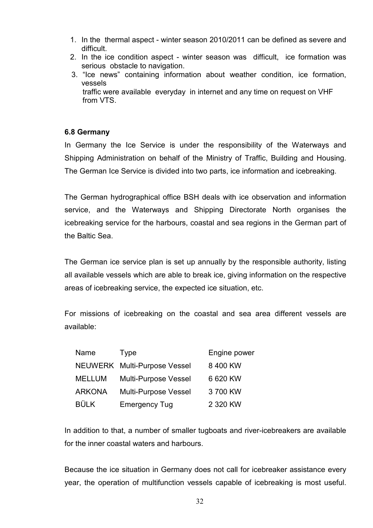- 1. In the thermal aspect winter season 2010/2011 can be defined as severe and difficult.
- 2. In the ice condition aspect winter season was difficult, ice formation was serious obstacle to navigation.
- 3. "Ice news" containing information about weather condition, ice formation, vessels traffic were available everyday in internet and any time on request on VHF from VTS.

## **6.8 Germany**

In Germany the Ice Service is under the responsibility of the Waterways and Shipping Administration on behalf of the Ministry of Traffic, Building and Housing. The German Ice Service is divided into two parts, ice information and icebreaking.

The German hydrographical office BSH deals with ice observation and information service, and the Waterways and Shipping Directorate North organises the icebreaking service for the harbours, coastal and sea regions in the German part of the Baltic Sea.

The German ice service plan is set up annually by the responsible authority, listing all available vessels which are able to break ice, giving information on the respective areas of icebreaking service, the expected ice situation, etc.

For missions of icebreaking on the coastal and sea area different vessels are available:

| Name          | <b>Type</b>                  | Engine power |
|---------------|------------------------------|--------------|
|               | NEUWERK Multi-Purpose Vessel | 8 400 KW     |
| <b>MELLUM</b> | <b>Multi-Purpose Vessel</b>  | 6 620 KW     |
| <b>ARKONA</b> | <b>Multi-Purpose Vessel</b>  | 3700 KW      |
| <b>BÜLK</b>   | <b>Emergency Tug</b>         | 2 320 KW     |

In addition to that, a number of smaller tugboats and river-icebreakers are available for the inner coastal waters and harbours.

Because the ice situation in Germany does not call for icebreaker assistance every year, the operation of multifunction vessels capable of icebreaking is most useful.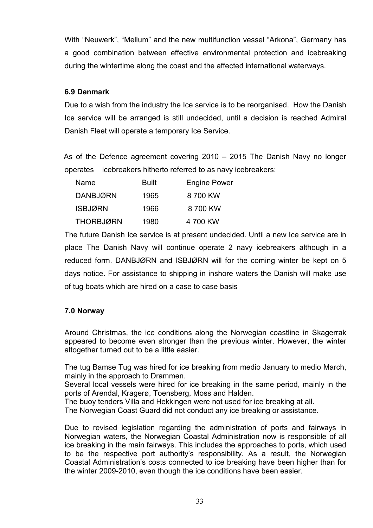With "Neuwerk", "Mellum" and the new multifunction vessel "Arkona", Germany has a good combination between effective environmental protection and icebreaking during the wintertime along the coast and the affected international waterways.

## **6.9 Denmark**

Due to a wish from the industry the Ice service is to be reorganised. How the Danish Ice service will be arranged is still undecided, until a decision is reached Admiral Danish Fleet will operate a temporary Ice Service.

 As of the Defence agreement covering 2010 – 2015 The Danish Navy no longer operates icebreakers hitherto referred to as navy icebreakers:

| Name            | Built | Engine Power |
|-----------------|-------|--------------|
| <b>DANBJØRN</b> | 1965  | 8 700 KW     |
| <b>ISBJØRN</b>  | 1966  | 8 700 KW     |
| THORBJØRN       | 1980  | 4 700 KW     |

The future Danish Ice service is at present undecided. Until a new Ice service are in place The Danish Navy will continue operate 2 navy icebreakers although in a reduced form. DANBJØRN and ISBJØRN will for the coming winter be kept on 5 days notice. For assistance to shipping in inshore waters the Danish will make use of tug boats which are hired on a case to case basis

## **7.0 Norway**

Around Christmas, the ice conditions along the Norwegian coastline in Skagerrak appeared to become even stronger than the previous winter. However, the winter altogether turned out to be a little easier.

The tug Bamse Tug was hired for ice breaking from medio January to medio March, mainly in the approach to Drammen.

Several local vessels were hired for ice breaking in the same period, mainly in the ports of Arendal, Kragerø, Toensberg, Moss and Halden.

The buoy tenders Villa and Hekkingen were not used for ice breaking at all.

The Norwegian Coast Guard did not conduct any ice breaking or assistance.

Due to revised legislation regarding the administration of ports and fairways in Norwegian waters, the Norwegian Coastal Administration now is responsible of all ice breaking in the main fairways. This includes the approaches to ports, which used to be the respective port authority's responsibility. As a result, the Norwegian Coastal Administration's costs connected to ice breaking have been higher than for the winter 2009-2010, even though the ice conditions have been easier.